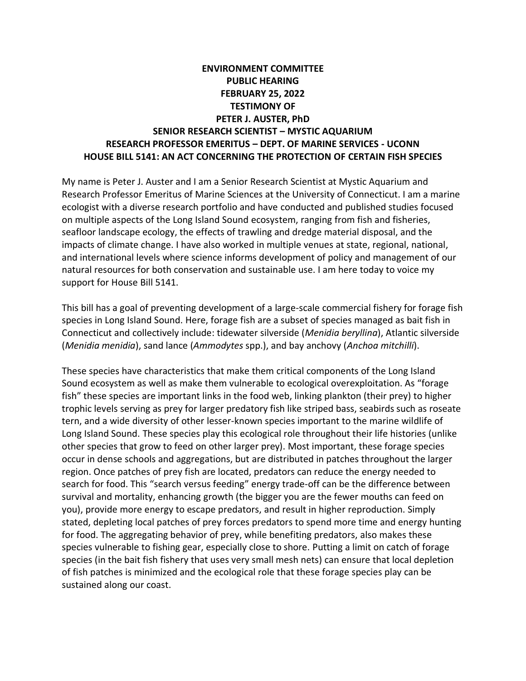## **ENVIRONMENT COMMITTEE PUBLIC HEARING FEBRUARY 25, 2022 TESTIMONY OF PETER J. AUSTER, PhD SENIOR RESEARCH SCIENTIST – MYSTIC AQUARIUM RESEARCH PROFESSOR EMERITUS – DEPT. OF MARINE SERVICES - UCONN HOUSE BILL 5141: AN ACT CONCERNING THE PROTECTION OF CERTAIN FISH SPECIES**

My name is Peter J. Auster and I am a Senior Research Scientist at Mystic Aquarium and Research Professor Emeritus of Marine Sciences at the University of Connecticut. I am a marine ecologist with a diverse research portfolio and have conducted and published studies focused on multiple aspects of the Long Island Sound ecosystem, ranging from fish and fisheries, seafloor landscape ecology, the effects of trawling and dredge material disposal, and the impacts of climate change. I have also worked in multiple venues at state, regional, national, and international levels where science informs development of policy and management of our natural resources for both conservation and sustainable use. I am here today to voice my support for House Bill 5141.

This bill has a goal of preventing development of a large-scale commercial fishery for forage fish species in Long Island Sound. Here, forage fish are a subset of species managed as bait fish in Connecticut and collectively include: tidewater silverside (*Menidia beryllina*), Atlantic silverside (*Menidia menidia*), sand lance (*Ammodytes* spp.), and bay anchovy (*Anchoa mitchilli*).

These species have characteristics that make them critical components of the Long Island Sound ecosystem as well as make them vulnerable to ecological overexploitation. As "forage fish" these species are important links in the food web, linking plankton (their prey) to higher trophic levels serving as prey for larger predatory fish like striped bass, seabirds such as roseate tern, and a wide diversity of other lesser-known species important to the marine wildlife of Long Island Sound. These species play this ecological role throughout their life histories (unlike other species that grow to feed on other larger prey). Most important, these forage species occur in dense schools and aggregations, but are distributed in patches throughout the larger region. Once patches of prey fish are located, predators can reduce the energy needed to search for food. This "search versus feeding" energy trade-off can be the difference between survival and mortality, enhancing growth (the bigger you are the fewer mouths can feed on you), provide more energy to escape predators, and result in higher reproduction. Simply stated, depleting local patches of prey forces predators to spend more time and energy hunting for food. The aggregating behavior of prey, while benefiting predators, also makes these species vulnerable to fishing gear, especially close to shore. Putting a limit on catch of forage species (in the bait fish fishery that uses very small mesh nets) can ensure that local depletion of fish patches is minimized and the ecological role that these forage species play can be sustained along our coast.